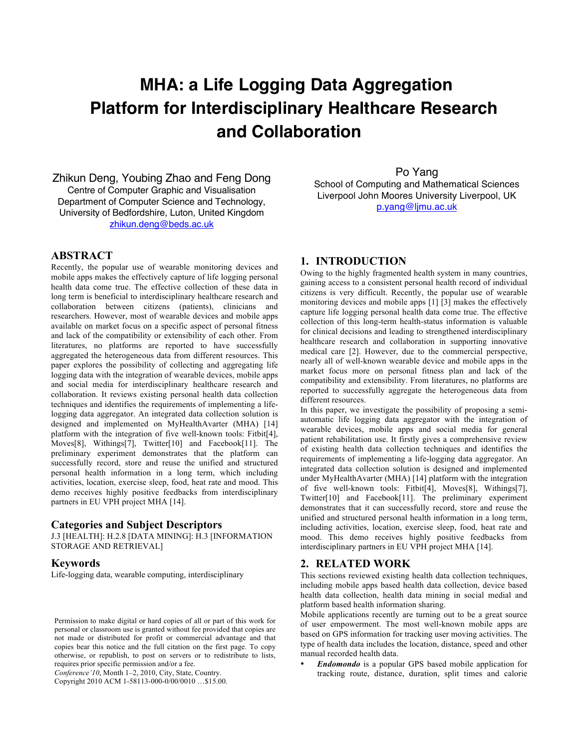# **MHA: a Life Logging Data Aggregation Platform for Interdisciplinary Healthcare Research and Collaboration**

Zhikun Deng, Youbing Zhao and Feng Dong Centre of Computer Graphic and Visualisation Department of Computer Science and Technology, University of Bedfordshire, Luton, United Kingdom zhikun.deng@beds.ac.uk

# **ABSTRACT**

Recently, the popular use of wearable monitoring devices and mobile apps makes the effectively capture of life logging personal health data come true. The effective collection of these data in long term is beneficial to interdisciplinary healthcare research and collaboration between citizens (patients), clinicians and researchers. However, most of wearable devices and mobile apps available on market focus on a specific aspect of personal fitness and lack of the compatibility or extensibility of each other. From literatures, no platforms are reported to have successfully aggregated the heterogeneous data from different resources. This paper explores the possibility of collecting and aggregating life logging data with the integration of wearable devices, mobile apps and social media for interdisciplinary healthcare research and collaboration. It reviews existing personal health data collection techniques and identifies the requirements of implementing a lifelogging data aggregator. An integrated data collection solution is designed and implemented on MyHealthAvarter (MHA) [14] platform with the integration of five well-known tools: Fitbit[4], Moves[8], Withings[7], Twitter[10] and Facebook[11]. The preliminary experiment demonstrates that the platform can successfully record, store and reuse the unified and structured personal health information in a long term, which including activities, location, exercise sleep, food, heat rate and mood. This demo receives highly positive feedbacks from interdisciplinary partners in EU VPH project MHA [14].

## **Categories and Subject Descriptors**

J.3 [HEALTH]: H.2.8 [DATA MINING]: H.3 [INFORMATION STORAGE AND RETRIEVAL]

#### **Keywords**

Life-logging data, wearable computing, interdisciplinary

*Conference'10*, Month 1–2, 2010, City, State, Country.

Copyright 2010 ACM 1-58113-000-0/00/0010 …\$15.00.

Po Yang

School of Computing and Mathematical Sciences Liverpool John Moores University Liverpool, UK p.yang@ljmu.ac.uk

#### **1. INTRODUCTION**

Owing to the highly fragmented health system in many countries, gaining access to a consistent personal health record of individual citizens is very difficult. Recently, the popular use of wearable monitoring devices and mobile apps [1] [3] makes the effectively capture life logging personal health data come true. The effective collection of this long-term health-status information is valuable for clinical decisions and leading to strengthened interdisciplinary healthcare research and collaboration in supporting innovative medical care [2]. However, due to the commercial perspective, nearly all of well-known wearable device and mobile apps in the market focus more on personal fitness plan and lack of the compatibility and extensibility. From literatures, no platforms are reported to successfully aggregate the heterogeneous data from different resources.

In this paper, we investigate the possibility of proposing a semiautomatic life logging data aggregator with the integration of wearable devices, mobile apps and social media for general patient rehabilitation use. It firstly gives a comprehensive review of existing health data collection techniques and identifies the requirements of implementing a life-logging data aggregator. An integrated data collection solution is designed and implemented under MyHealthAvarter (MHA) [14] platform with the integration of five well-known tools: Fitbit[4], Moves[8], Withings[7], Twitter[10] and Facebook[11]. The preliminary experiment demonstrates that it can successfully record, store and reuse the unified and structured personal health information in a long term, including activities, location, exercise sleep, food, heat rate and mood. This demo receives highly positive feedbacks from interdisciplinary partners in EU VPH project MHA [14].

# **2. RELATED WORK**

This sections reviewed existing health data collection techniques, including mobile apps based health data collection, device based health data collection, health data mining in social medial and platform based health information sharing.

Mobile applications recently are turning out to be a great source of user empowerment. The most well-known mobile apps are based on GPS information for tracking user moving activities. The type of health data includes the location, distance, speed and other manual recorded health data.

• *Endomondo* is a popular GPS based mobile application for tracking route, distance, duration, split times and calorie

Permission to make digital or hard copies of all or part of this work for personal or classroom use is granted without fee provided that copies are not made or distributed for profit or commercial advantage and that copies bear this notice and the full citation on the first page. To copy otherwise, or republish, to post on servers or to redistribute to lists, requires prior specific permission and/or a fee.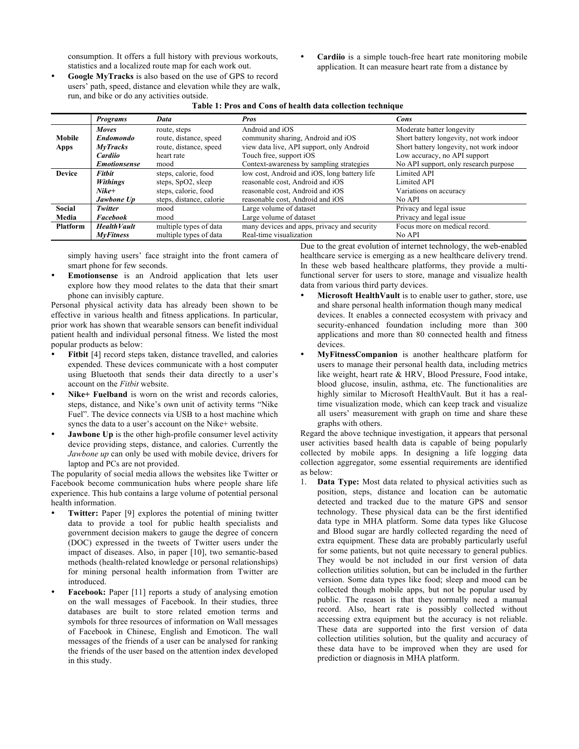consumption. It offers a full history with previous workouts, statistics and a localized route map for each work out.

- Cardiio is a simple touch-free heart rate monitoring mobile application. It can measure heart rate from a distance by
- **Google MyTracks** is also based on the use of GPS to record users' path, speed, distance and elevation while they are walk, run, and bike or do any activities outside. **Table 1: Pros and Cons of health data collection technique**

|                 | <b>Programs</b>     | Data                     | <b>Pros</b>                                  | Cons                                     |
|-----------------|---------------------|--------------------------|----------------------------------------------|------------------------------------------|
|                 | <b>Moves</b>        | route, steps             | Android and iOS                              | Moderate batter longevity                |
| <b>Mobile</b>   | <b>Endomondo</b>    | route, distance, speed   | community sharing, Android and iOS           | Short battery longevity, not work indoor |
| Apps            | MyTracks            | route, distance, speed   | view data live, API support, only Android    | Short battery longevity, not work indoor |
|                 | Cardiio             | heart rate               | Touch free, support iOS                      | Low accuracy, no API support             |
|                 | <b>Emotionsense</b> | mood                     | Context-awareness by sampling strategies     | No API support, only research purpose    |
| <b>Device</b>   | <b>Fithit</b>       | steps, calorie, food     | low cost, Android and iOS, long battery life | <b>Limited API</b>                       |
|                 | <b>Withings</b>     | steps, $SpO2$ , sleep    | reasonable cost, Android and iOS             | Limited API                              |
|                 | $Nike+$             | steps, calorie, food     | reasonable cost, Android and iOS             | Variations on accuracy                   |
|                 | Jawbone Up          | steps, distance, calorie | reasonable cost, Android and iOS             | No API                                   |
| Social          | Twitter             | mood                     | Large volume of dataset                      | Privacy and legal issue                  |
| Media           | <b>Facebook</b>     | mood                     | Large volume of dataset                      | Privacy and legal issue                  |
| <b>Platform</b> | <b>Health Vault</b> | multiple types of data   | many devices and apps, privacy and security  | Focus more on medical record.            |
|                 | <b>MvFitness</b>    | multiple types of data   | Real-time visualization                      | No API                                   |

simply having users' face straight into the front camera of smart phone for few seconds.

• **Emotionsense** is an Android application that lets user explore how they mood relates to the data that their smart phone can invisibly capture.

Personal physical activity data has already been shown to be effective in various health and fitness applications. In particular, prior work has shown that wearable sensors can benefit individual patient health and individual personal fitness. We listed the most popular products as below:

- **Fitbit** [4] record steps taken, distance travelled, and calories expended. These devices communicate with a host computer using Bluetooth that sends their data directly to a user's account on the *Fitbit* website.
- Nike+ Fuelband is worn on the wrist and records calories, steps, distance, and Nike's own unit of activity terms "Nike Fuel". The device connects via USB to a host machine which syncs the data to a user's account on the Nike+ website.
- **Jawbone Up** is the other high-profile consumer level activity device providing steps, distance, and calories. Currently the *Jawbone up* can only be used with mobile device, drivers for laptop and PCs are not provided.

The popularity of social media allows the websites like Twitter or Facebook become communication hubs where people share life experience. This hub contains a large volume of potential personal health information.

- **Twitter:** Paper [9] explores the potential of mining twitter data to provide a tool for public health specialists and government decision makers to gauge the degree of concern (DOC) expressed in the tweets of Twitter users under the impact of diseases. Also, in paper [10], two semantic-based methods (health-related knowledge or personal relationships) for mining personal health information from Twitter are introduced.
- **Facebook:** Paper [11] reports a study of analysing emotion on the wall messages of Facebook. In their studies, three databases are built to store related emotion terms and symbols for three resources of information on Wall messages of Facebook in Chinese, English and Emoticon. The wall messages of the friends of a user can be analysed for ranking the friends of the user based on the attention index developed in this study.

Due to the great evolution of internet technology, the web-enabled healthcare service is emerging as a new healthcare delivery trend. In these web based healthcare platforms, they provide a multifunctional server for users to store, manage and visualize health data from various third party devices.

- **Microsoft HealthVault** is to enable user to gather, store, use and share personal health information though many medical devices. It enables a connected ecosystem with privacy and security-enhanced foundation including more than 300 applications and more than 80 connected health and fitness devices.
- **MyFitnessCompanion** is another healthcare platform for users to manage their personal health data, including metrics like weight, heart rate & HRV, Blood Pressure, Food intake, blood glucose, insulin, asthma, etc. The functionalities are highly similar to Microsoft HealthVault. But it has a realtime visualization mode, which can keep track and visualize all users' measurement with graph on time and share these graphs with others.

Regard the above technique investigation, it appears that personal user activities based health data is capable of being popularly collected by mobile apps. In designing a life logging data collection aggregator, some essential requirements are identified as below:

1. **Data Type:** Most data related to physical activities such as position, steps, distance and location can be automatic detected and tracked due to the mature GPS and sensor technology. These physical data can be the first identified data type in MHA platform. Some data types like Glucose and Blood sugar are hardly collected regarding the need of extra equipment. These data are probably particularly useful for some patients, but not quite necessary to general publics. They would be not included in our first version of data collection utilities solution, but can be included in the further version. Some data types like food; sleep and mood can be collected though mobile apps, but not be popular used by public. The reason is that they normally need a manual record. Also, heart rate is possibly collected without accessing extra equipment but the accuracy is not reliable. These data are supported into the first version of data collection utilities solution, but the quality and accuracy of these data have to be improved when they are used for prediction or diagnosis in MHA platform.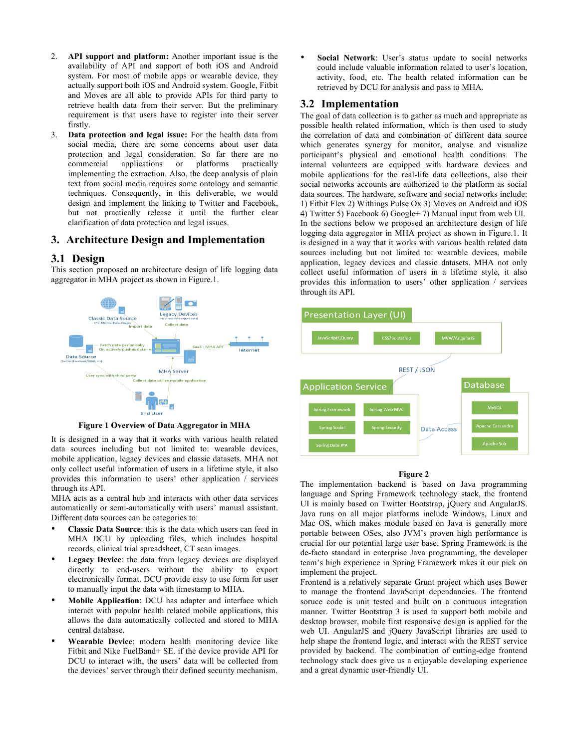- 2. **API support and platform:** Another important issue is the availability of API and support of both iOS and Android system. For most of mobile apps or wearable device, they actually support both iOS and Android system. Google, Fitbit and Moves are all able to provide APIs for third party to retrieve health data from their server. But the preliminary requirement is that users have to register into their server firstly.
- 3. **Data protection and legal issue:** For the health data from social media, there are some concerns about user data protection and legal consideration. So far there are no commercial applications or platforms practically implementing the extraction. Also, the deep analysis of plain text from social media requires some ontology and semantic techniques. Consequently, in this deliverable, we would design and implement the linking to Twitter and Facebook, but not practically release it until the further clear clarification of data protection and legal issues.

## **3. Architecture Design and Implementation**

## **3.1 Design**

This section proposed an architecture design of life logging data aggregator in MHA project as shown in Figure.1.



**Figure 1 Overview of Data Aggregator in MHA** 

It is designed in a way that it works with various health related data sources including but not limited to: wearable devices, mobile application, legacy devices and classic datasets. MHA not only collect useful information of users in a lifetime style, it also provides this information to users' other application / services through its API.

MHA acts as a central hub and interacts with other data services automatically or semi-automatically with users' manual assistant. Different data sources can be categories to:

- **Classic Data Source**: this is the data which users can feed in MHA DCU by uploading files, which includes hospital records, clinical trial spreadsheet, CT scan images.
- **Legacy Device**: the data from legacy devices are displayed directly to end-users without the ability to export electronically format. DCU provide easy to use form for user to manually input the data with timestamp to MHA.
- **Mobile Application**: DCU has adapter and interface which interact with popular health related mobile applications, this allows the data automatically collected and stored to MHA central database.
- **Wearable Device**: modern health monitoring device like Fitbit and Nike FuelBand+ SE. if the device provide API for DCU to interact with, the users' data will be collected from the devices' server through their defined security mechanism.

• **Social Network**: User's status update to social networks could include valuable information related to user's location, activity, food, etc. The health related information can be retrieved by DCU for analysis and pass to MHA.

# **3.2 Implementation**

The goal of data collection is to gather as much and appropriate as possible health related information, which is then used to study the correlation of data and combination of different data source which generates synergy for monitor, analyse and visualize participant's physical and emotional health conditions. The internal volunteers are equipped with hardware devices and mobile applications for the real-life data collections, also their social networks accounts are authorized to the platform as social data sources. The hardware, software and social networks include: 1) Fitbit Flex 2) Withings Pulse Ox 3) Moves on Android and iOS 4) Twitter 5) Facebook 6) Google+ 7) Manual input from web UI. In the sections below we proposed an architecture design of life logging data aggregator in MHA project as shown in Figure.1. It is designed in a way that it works with various health related data sources including but not limited to: wearable devices, mobile application, legacy devices and classic datasets. MHA not only collect useful information of users in a lifetime style, it also provides this information to users' other application / services through its API.



#### **Figure 2**

The implementation backend is based on Java programming language and Spring Framework technology stack, the frontend UI is mainly based on Twitter Bootstrap, jQuery and AngularJS. Java runs on all major platforms include Windows, Linux and Mac OS, which makes module based on Java is generally more portable between OSes, also JVM's proven high performance is crucial for our potential large user base. Spring Framework is the de-facto standard in enterprise Java programming, the developer team's high experience in Spring Framework mkes it our pick on implement the project.

Frontend is a relatively separate Grunt project which uses Bower to manage the frontend JavaScript dependancies. The frontend soruce code is unit tested and built on a conituous integration manner. Twitter Bootstrap 3 is used to support both mobile and desktop browser, mobile first responsive design is applied for the web UI. AngularJS and jQuery JavaScript libraries are used to help shape the frontend logic, and interact with the REST service provided by backend. The combination of cutting-edge frontend technology stack does give us a enjoyable developing experience and a great dynamic user-friendly UI.